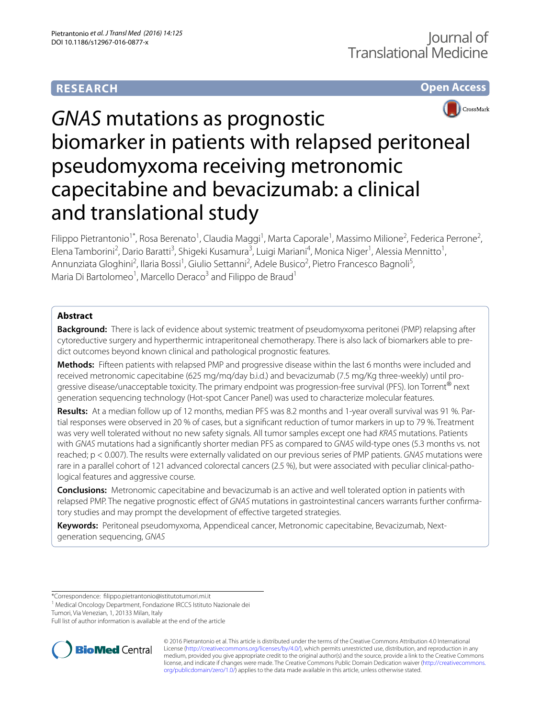# **RESEARCH**

# **Open Access**



# *GNAS* mutations as prognostic biomarker in patients with relapsed peritoneal pseudomyxoma receiving metronomic capecitabine and bevacizumab: a clinical and translational study

Filippo Pietrantonio<sup>1\*</sup>, Rosa Berenato<sup>1</sup>, Claudia Maggi<sup>1</sup>, Marta Caporale<sup>1</sup>, Massimo Milione<sup>2</sup>, Federica Perrone<sup>2</sup>, Elena Tamborini<sup>2</sup>, Dario Baratti<sup>3</sup>, Shigeki Kusamura<sup>3</sup>, Luigi Mariani<sup>4</sup>, Monica Niger<sup>1</sup>, Alessia Mennitto<sup>1</sup>, Annunziata Gloghini<sup>2</sup>, Ilaria Bossi<sup>1</sup>, Giulio Settanni<sup>2</sup>, Adele Busico<sup>2</sup>, Pietro Francesco Bagnoli<sup>5</sup>, Maria Di Bartolomeo<sup>1</sup>, Marcello Deraco<sup>3</sup> and Filippo de Braud<sup>1</sup>

# **Abstract**

**Background:** There is lack of evidence about systemic treatment of pseudomyxoma peritonei (PMP) relapsing after cytoreductive surgery and hyperthermic intraperitoneal chemotherapy. There is also lack of biomarkers able to predict outcomes beyond known clinical and pathological prognostic features.

**Methods:** Fifteen patients with relapsed PMP and progressive disease within the last 6 months were included and received metronomic capecitabine (625 mg/mq/day b.i.d.) and bevacizumab (7.5 mg/Kg three-weekly) until progressive disease/unacceptable toxicity. The primary endpoint was progression-free survival (PFS). Ion Torrent® next generation sequencing technology (Hot-spot Cancer Panel) was used to characterize molecular features.

**Results:** At a median follow up of 12 months, median PFS was 8.2 months and 1-year overall survival was 91 %. Partial responses were observed in 20 % of cases, but a significant reduction of tumor markers in up to 79 %. Treatment was very well tolerated without no new safety signals. All tumor samples except one had *KRAS* mutations. Patients with *GNAS* mutations had a significantly shorter median PFS as compared to *GNAS* wild-type ones (5.3 months vs. not reached; p < 0.007). The results were externally validated on our previous series of PMP patients. *GNAS* mutations were rare in a parallel cohort of 121 advanced colorectal cancers (2.5 %), but were associated with peculiar clinical-pathological features and aggressive course.

**Conclusions:** Metronomic capecitabine and bevacizumab is an active and well tolerated option in patients with relapsed PMP. The negative prognostic effect of *GNAS* mutations in gastrointestinal cancers warrants further confirmatory studies and may prompt the development of effective targeted strategies.

**Keywords:** Peritoneal pseudomyxoma, Appendiceal cancer, Metronomic capecitabine, Bevacizumab, Nextgeneration sequencing, *GNAS*

\*Correspondence: filippo.pietrantonio@istitutotumori.mi.it

Tumori, Via Venezian, 1, 20133 Milan, Italy

Full list of author information is available at the end of the article



© 2016 Pietrantonio et al. This article is distributed under the terms of the Creative Commons Attribution 4.0 International License (<http://creativecommons.org/licenses/by/4.0/>), which permits unrestricted use, distribution, and reproduction in any medium, provided you give appropriate credit to the original author(s) and the source, provide a link to the Creative Commons license, and indicate if changes were made. The Creative Commons Public Domain Dedication waiver ([http://creativecommons.](http://creativecommons.org/publicdomain/zero/1.0/) [org/publicdomain/zero/1.0/](http://creativecommons.org/publicdomain/zero/1.0/)) applies to the data made available in this article, unless otherwise stated.

<sup>&</sup>lt;sup>1</sup> Medical Oncology Department, Fondazione IRCCS Istituto Nazionale dei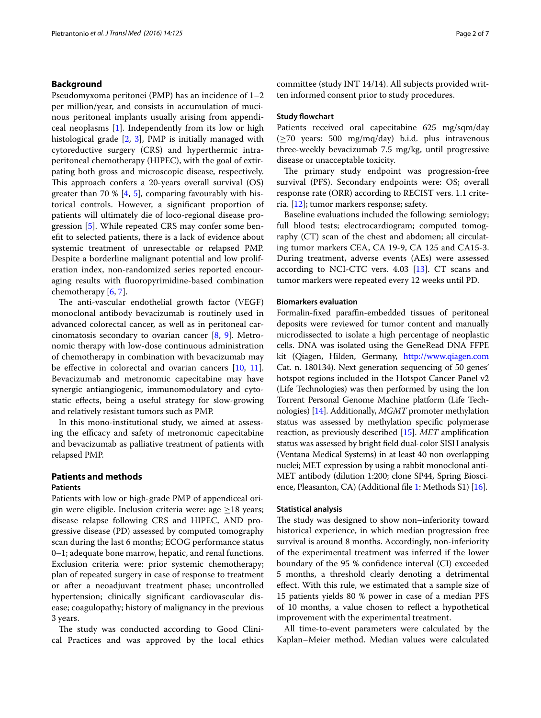## **Background**

Pseudomyxoma peritonei (PMP) has an incidence of 1–2 per million/year, and consists in accumulation of mucinous peritoneal implants usually arising from appendiceal neoplasms [[1\]](#page-6-0). Independently from its low or high histological grade [\[2](#page-6-1), [3](#page-6-2)], PMP is initially managed with cytoreductive surgery (CRS) and hyperthermic intraperitoneal chemotherapy (HIPEC), with the goal of extirpating both gross and microscopic disease, respectively. This approach confers a 20-years overall survival (OS) greater than 70  $\%$  [[4](#page-6-3), [5\]](#page-6-4), comparing favourably with historical controls. However, a significant proportion of patients will ultimately die of loco-regional disease progression [[5\]](#page-6-4). While repeated CRS may confer some benefit to selected patients, there is a lack of evidence about systemic treatment of unresectable or relapsed PMP. Despite a borderline malignant potential and low proliferation index, non-randomized series reported encouraging results with fluoropyrimidine-based combination chemotherapy [[6,](#page-6-5) [7](#page-6-6)].

The anti-vascular endothelial growth factor (VEGF) monoclonal antibody bevacizumab is routinely used in advanced colorectal cancer, as well as in peritoneal carcinomatosis secondary to ovarian cancer [\[8,](#page-6-7) [9\]](#page-6-8). Metronomic therapy with low-dose continuous administration of chemotherapy in combination with bevacizumab may be effective in colorectal and ovarian cancers [[10,](#page-6-9) [11](#page-6-10)]. Bevacizumab and metronomic capecitabine may have synergic antiangiogenic, immunomodulatory and cytostatic effects, being a useful strategy for slow-growing and relatively resistant tumors such as PMP.

In this mono-institutional study, we aimed at assessing the efficacy and safety of metronomic capecitabine and bevacizumab as palliative treatment of patients with relapsed PMP.

## **Patients and methods Patients**

Patients with low or high-grade PMP of appendiceal origin were eligible. Inclusion criteria were: age  $\geq$ 18 years; disease relapse following CRS and HIPEC, AND progressive disease (PD) assessed by computed tomography scan during the last 6 months; ECOG performance status 0–1; adequate bone marrow, hepatic, and renal functions. Exclusion criteria were: prior systemic chemotherapy; plan of repeated surgery in case of response to treatment or after a neoadjuvant treatment phase; uncontrolled hypertension; clinically significant cardiovascular disease; coagulopathy; history of malignancy in the previous 3 years.

The study was conducted according to Good Clinical Practices and was approved by the local ethics committee (study INT 14/14). All subjects provided written informed consent prior to study procedures.

#### **Study flowchart**

Patients received oral capecitabine 625 mg/sqm/day (≥70 years: 500 mg/mq/day) b.i.d. plus intravenous three-weekly bevacizumab 7.5 mg/kg, until progressive disease or unacceptable toxicity.

The primary study endpoint was progression-free survival (PFS). Secondary endpoints were: OS; overall response rate (ORR) according to RECIST vers. 1.1 criteria. [[12](#page-6-11)]; tumor markers response; safety.

Baseline evaluations included the following: semiology; full blood tests; electrocardiogram; computed tomography (CT) scan of the chest and abdomen; all circulating tumor markers CEA, CA 19-9, CA 125 and CA15-3. During treatment, adverse events (AEs) were assessed according to NCI-CTC vers. 4.03 [[13\]](#page-6-12). CT scans and tumor markers were repeated every 12 weeks until PD.

## **Biomarkers evaluation**

Formalin-fixed paraffin-embedded tissues of peritoneal deposits were reviewed for tumor content and manually microdissected to isolate a high percentage of neoplastic cells. DNA was isolated using the GeneRead DNA FFPE kit (Qiagen, Hilden, Germany, <http://www.qiagen.com> Cat. n. 180134). Next generation sequencing of 50 genes' hotspot regions included in the Hotspot Cancer Panel v2 (Life Technologies) was then performed by using the Ion Torrent Personal Genome Machine platform (Life Technologies) [[14](#page-6-13)]. Additionally, *MGMT* promoter methylation status was assessed by methylation specific polymerase reaction, as previously described [\[15\]](#page-6-14). *MET* amplification status was assessed by bright field dual-color SISH analysis (Ventana Medical Systems) in at least 40 non overlapping nuclei; MET expression by using a rabbit monoclonal anti-MET antibody (dilution 1:200; clone SP44, Spring Bioscience, Pleasanton, CA) (Additional file [1](#page-6-15): Methods S1) [\[16\]](#page-6-16).

#### **Statistical analysis**

The study was designed to show non–inferiority toward historical experience, in which median progression free survival is around 8 months. Accordingly, non-inferiority of the experimental treatment was inferred if the lower boundary of the 95 % confidence interval (CI) exceeded 5 months, a threshold clearly denoting a detrimental effect. With this rule, we estimated that a sample size of 15 patients yields 80 % power in case of a median PFS of 10 months, a value chosen to reflect a hypothetical improvement with the experimental treatment.

All time-to-event parameters were calculated by the Kaplan–Meier method. Median values were calculated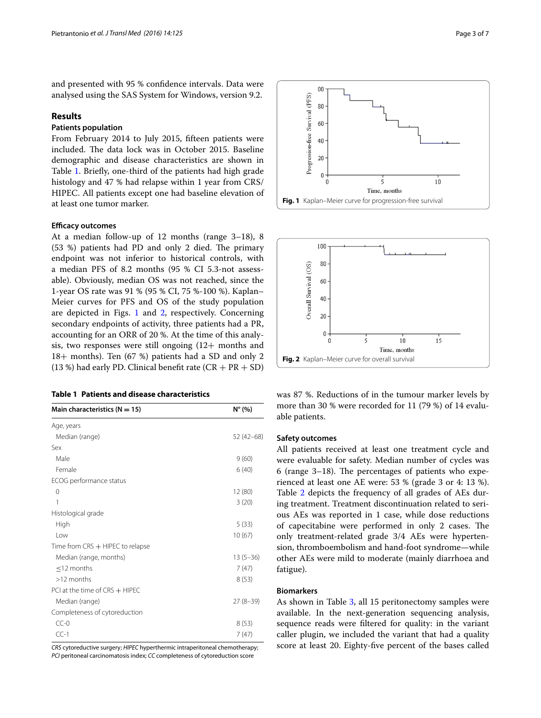and presented with 95 % confidence intervals. Data were analysed using the SAS System for Windows, version 9.2.

### **Results**

# **Patients population**

From February 2014 to July 2015, fifteen patients were included. The data lock was in October 2015. Baseline demographic and disease characteristics are shown in Table [1.](#page-2-0) Briefly, one-third of the patients had high grade histology and 47 % had relapse within 1 year from CRS/ HIPEC. All patients except one had baseline elevation of at least one tumor marker.

## **Efficacy outcomes**

At a median follow-up of 12 months (range 3–18), 8 (53 %) patients had PD and only 2 died. The primary endpoint was not inferior to historical controls, with a median PFS of 8.2 months (95 % CI 5.3-not assessable). Obviously, median OS was not reached, since the 1-year OS rate was 91 % (95 % CI, 75 %-100 %). Kaplan– Meier curves for PFS and OS of the study population are depicted in Figs. [1](#page-2-1) and [2,](#page-2-2) respectively. Concerning secondary endpoints of activity, three patients had a PR, accounting for an ORR of 20 %. At the time of this analysis, two responses were still ongoing (12+ months and 18+ months). Ten (67 %) patients had a SD and only 2 (13 %) had early PD. Clinical benefit rate  $(CR + PR + SD)$ 

<span id="page-2-0"></span>

| Main characteristics ( $N = 15$ )  | $N^{\circ}$ (%) |
|------------------------------------|-----------------|
| Age, years                         |                 |
| Median (range)                     | $52(42-68)$     |
| Sex                                |                 |
| Male                               | 9(60)           |
| Female                             | 6(40)           |
| ECOG performance status            |                 |
| 0                                  | 12 (80)         |
| 1                                  | 3(20)           |
| Histological grade                 |                 |
| High                               | 5(33)           |
| Low                                | 10(67)          |
| Time from $CRS$ + HIPEC to relapse |                 |
| Median (range, months)             | $13(5 - 36)$    |
| $\leq$ 12 months                   | 7(47)           |
| $>12$ months                       | 8(53)           |
| PCI at the time of CRS + HIPEC     |                 |
| Median (range)                     | $27(8-39)$      |
| Completeness of cytoreduction      |                 |
| $CC-0$                             | 8(53)           |
| $CC-1$                             | 7 (47)          |

*CRS* cytoreductive surgery; *HIPEC* hyperthermic intraperitoneal chemotherapy; *PCI* peritoneal carcinomatosis index; *CC* completeness of cytoreduction score



<span id="page-2-1"></span>

<span id="page-2-2"></span>was 87 %. Reductions of in the tumour marker levels by more than 30 % were recorded for 11 (79 %) of 14 evaluable patients.

#### **Safety outcomes**

All patients received at least one treatment cycle and were evaluable for safety. Median number of cycles was 6 (range 3–18). The percentages of patients who experienced at least one AE were: 53 % (grade 3 or 4: 13 %). Table [2](#page-3-0) depicts the frequency of all grades of AEs during treatment. Treatment discontinuation related to serious AEs was reported in 1 case, while dose reductions of capecitabine were performed in only 2 cases. The only treatment-related grade 3/4 AEs were hypertension, thromboembolism and hand-foot syndrome—while other AEs were mild to moderate (mainly diarrhoea and fatigue).

#### **Biomarkers**

As shown in Table [3,](#page-4-0) all 15 peritonectomy samples were available. In the next-generation sequencing analysis, sequence reads were filtered for quality: in the variant caller plugin, we included the variant that had a quality score at least 20. Eighty-five percent of the bases called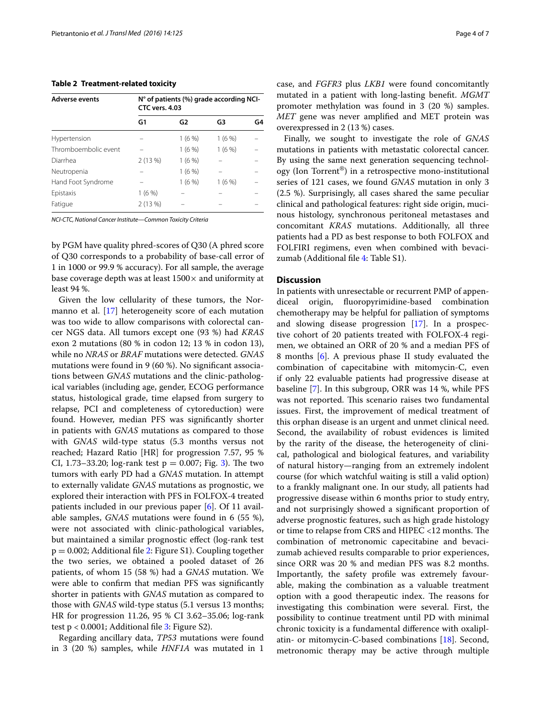#### <span id="page-3-0"></span>**Table 2 Treatment-related toxicity**

| <b>Adverse events</b> | $N^{\circ}$ of patients (%) grade according NCI-<br>CTC vers. 4.03 |                |          |    |
|-----------------------|--------------------------------------------------------------------|----------------|----------|----|
|                       | G1                                                                 | G <sub>2</sub> | G3       | G4 |
| Hypertension          |                                                                    | $1(6\%)$       | 1(6%)    |    |
| Thromboembolic event  |                                                                    | $1(6\%)$       | $1(6\%)$ |    |
| Diarrhea              | 2(13%)                                                             | 1(6%           |          |    |
| Neutropenia           |                                                                    | $1(6\%)$       |          |    |
| Hand Foot Syndrome    |                                                                    | $1(6\%)$       | 1(6%)    |    |
| Epistaxis             | 1(6%)                                                              |                |          |    |
| Fatigue               | 2(13%)                                                             |                |          |    |

*NCI*-*CTC, National Cancer Institute*—*Common Toxicity Criteria*

by PGM have quality phred-scores of Q30 (A phred score of Q30 corresponds to a probability of base-call error of 1 in 1000 or 99.9 % accuracy). For all sample, the average base coverage depth was at least  $1500\times$  and uniformity at least 94 %.

Given the low cellularity of these tumors, the Nor-manno et al. [[17\]](#page-6-17) heterogeneity score of each mutation was too wide to allow comparisons with colorectal cancer NGS data. All tumors except one (93 %) had *KRAS* exon 2 mutations (80 % in codon 12; 13 % in codon 13), while no *NRAS* or *BRAF* mutations were detected. *GNAS* mutations were found in 9 (60 %). No significant associations between *GNAS* mutations and the clinic-pathological variables (including age, gender, ECOG performance status, histological grade, time elapsed from surgery to relapse, PCI and completeness of cytoreduction) were found. However, median PFS was significantly shorter in patients with *GNAS* mutations as compared to those with *GNAS* wild-type status (5.3 months versus not reached; Hazard Ratio [HR] for progression 7.57, 95 % CI, 1.73–33.20; log-rank test  $p = 0.007$ ; Fig. [3\)](#page-5-0). The two tumors with early PD had a *GNAS* mutation. In attempt to externally validate *GNAS* mutations as prognostic, we explored their interaction with PFS in FOLFOX-4 treated patients included in our previous paper [[6\]](#page-6-5). Of 11 available samples, *GNAS* mutations were found in 6 (55 %), were not associated with clinic-pathological variables, but maintained a similar prognostic effect (log-rank test  $p = 0.002$ ; Additional file [2:](#page-6-18) Figure S1). Coupling together the two series, we obtained a pooled dataset of 26 patients, of whom 15 (58 %) had a *GNAS* mutation. We were able to confirm that median PFS was significantly shorter in patients with *GNAS* mutation as compared to those with *GNAS* wild-type status (5.1 versus 13 months; HR for progression 11.26, 95 % CI 3.62–35.06; log-rank test  $p < 0.0001$ ; Additional file [3:](#page-6-19) Figure S2).

Regarding ancillary data, *TP53* mutations were found in 3 (20 %) samples, while *HNF1A* was mutated in 1 case, and *FGFR3* plus *LKB1* were found concomitantly mutated in a patient with long-lasting benefit. *MGMT* promoter methylation was found in 3 (20 %) samples. *MET* gene was never amplified and MET protein was overexpressed in 2 (13 %) cases.

Finally, we sought to investigate the role of *GNAS* mutations in patients with metastatic colorectal cancer. By using the same next generation sequencing technology (Ion Torrent®) in a retrospective mono-institutional series of 121 cases, we found *GNAS* mutation in only 3 (2.5 %). Surprisingly, all cases shared the same peculiar clinical and pathological features: right side origin, mucinous histology, synchronous peritoneal metastases and concomitant *KRAS* mutations. Additionally, all three patients had a PD as best response to both FOLFOX and FOLFIRI regimens, even when combined with bevacizumab (Additional file [4](#page-6-20): Table S1).

## **Discussion**

In patients with unresectable or recurrent PMP of appendiceal origin, fluoropyrimidine-based combination chemotherapy may be helpful for palliation of symptoms and slowing disease progression [\[17\]](#page-6-17). In a prospective cohort of 20 patients treated with FOLFOX-4 regimen, we obtained an ORR of 20 % and a median PFS of 8 months [\[6](#page-6-5)]. A previous phase II study evaluated the combination of capecitabine with mitomycin-C, even if only 22 evaluable patients had progressive disease at baseline [\[7](#page-6-6)]. In this subgroup, ORR was 14 %, while PFS was not reported. This scenario raises two fundamental issues. First, the improvement of medical treatment of this orphan disease is an urgent and unmet clinical need. Second, the availability of robust evidences is limited by the rarity of the disease, the heterogeneity of clinical, pathological and biological features, and variability of natural history—ranging from an extremely indolent course (for which watchful waiting is still a valid option) to a frankly malignant one. In our study, all patients had progressive disease within 6 months prior to study entry, and not surprisingly showed a significant proportion of adverse prognostic features, such as high grade histology or time to relapse from CRS and HIPEC <12 months. The combination of metronomic capecitabine and bevacizumab achieved results comparable to prior experiences, since ORR was 20 % and median PFS was 8.2 months. Importantly, the safety profile was extremely favourable, making the combination as a valuable treatment option with a good therapeutic index. The reasons for investigating this combination were several. First, the possibility to continue treatment until PD with minimal chronic toxicity is a fundamental difference with oxaliplatin- or mitomycin-C-based combinations [[18](#page-6-21)]. Second, metronomic therapy may be active through multiple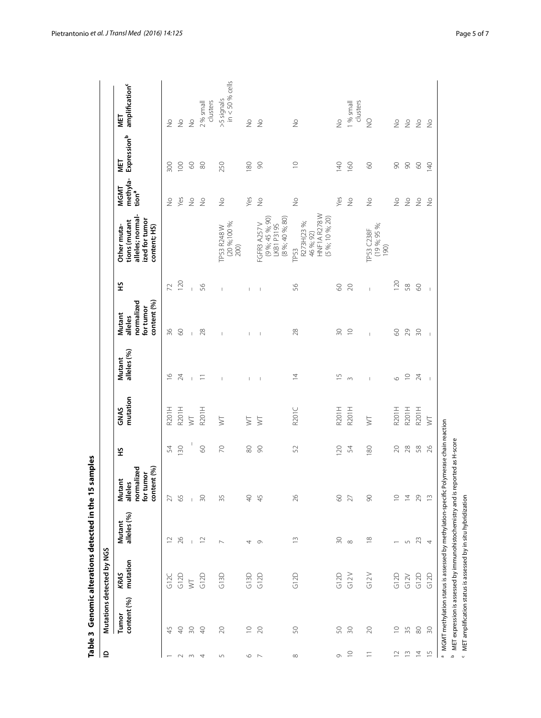| KRAS<br>mutation<br>G12D<br>G13D<br>G13D<br>G12D<br>G12D<br><b>GIZC</b><br>$\overline{\triangleright}$<br>content (%)<br>Tumor<br>45<br>20<br>$\supseteq$<br>20<br>$\triangleq$<br>50<br>$\Theta$<br>$\sqrt{2}$<br>$\circ$ $\sim$<br>$\sim w$ 4 | Mutant         |             |                                                                           |           |                         |                       |                                                             |                |                                                                                    |                                       |                    |                                   |
|-------------------------------------------------------------------------------------------------------------------------------------------------------------------------------------------------------------------------------------------------|----------------|-------------|---------------------------------------------------------------------------|-----------|-------------------------|-----------------------|-------------------------------------------------------------|----------------|------------------------------------------------------------------------------------|---------------------------------------|--------------------|-----------------------------------|
|                                                                                                                                                                                                                                                 |                | alleles (%) | content (%)<br>normalized<br>for tumor<br>ānt<br>es<br>š<br><u>alle</u> l | 오         | mutation<br><b>GNAS</b> | alleles (%)<br>Mutant | content (%)<br>normalized<br>for tumor<br>Mutant<br>alleles | 오              | alleles; normal-<br>ized for tumor<br>tions (mutant<br>content; HS)<br>Other muta- | methyla-<br>MGMT<br>tion <sup>a</sup> | Expressionb<br>MET | amplification <sup>c</sup><br>NET |
|                                                                                                                                                                                                                                                 | $\approx$      |             | 27                                                                        | 54        | R201H                   | $\frac{6}{1}$         | 36                                                          | $\overline{z}$ |                                                                                    | $\geq$                                | 300                | $\frac{1}{2}$                     |
|                                                                                                                                                                                                                                                 | 26             |             | 65                                                                        | 130       | R201H                   | 24                    | 8                                                           | 120            |                                                                                    | Yes                                   | 100                | $\geq$                            |
|                                                                                                                                                                                                                                                 |                |             |                                                                           | I         | $\overline{\mathbb{R}}$ | $\mathbb{L}$          | $\mathbb{L}$                                                | $\bar{1}$      |                                                                                    | $\stackrel{\circ}{\geq}$              | $\odot$            | $\frac{1}{2}$                     |
|                                                                                                                                                                                                                                                 | $\approx$      |             | $\overline{50}$                                                           | $\odot$   | R201H                   | $\equiv$              | 28                                                          | SS             |                                                                                    | $\geq$                                | $\approx$          | clusters<br>2 % small             |
|                                                                                                                                                                                                                                                 | $\sim$         |             | 35                                                                        | $\approx$ | $\overline{\mathsf{S}}$ | $\,$ $\,$             | $\mathbb T$                                                 | $\mathbb{I}$   | (20 %;100 %;<br>TP53 R248W<br>200)                                                 | $\frac{1}{2}$                         | 250                | $in < 50 %$ cells<br>$>5$ signals |
|                                                                                                                                                                                                                                                 | 4              |             | QÞ                                                                        | $\rm 80$  | $\geq$                  | $\mathbf{I}$          | $\mathbf{I}$                                                | $\overline{1}$ |                                                                                    | Yes                                   | 180                | $\frac{1}{2}$                     |
|                                                                                                                                                                                                                                                 | $\circ$        |             | 45                                                                        | $\infty$  | $\gtrsim$               | $\blacksquare$        | $\sim 1$                                                    | $\,$ $\,$      | $(9 %; 45 %; 90)$<br>LKB1 P319S<br>(8 %; 40 %; 80)<br>FGFR3 A257 V                 | $\stackrel{\circ}{\geq}$              | $\infty$           | $\geq$                            |
| G12D<br>50<br>$\infty$                                                                                                                                                                                                                          | $\frac{3}{2}$  |             | 26                                                                        | 52        | R <sub>201</sub> C      | $\overline{4}$        | 28                                                          | 95             | HNF1A R278W<br>(5 %; 10 %; 20)<br>R273H(23 %;<br>46 %; 92)<br>TP53                 | $\stackrel{\circ}{\geq}$              | $\supseteq$        | $\geq$                            |
| G12D<br>50<br>G                                                                                                                                                                                                                                 | $\approx$      |             | $\odot$                                                                   | 120       | R201H                   | $\frac{5}{1}$         | $\infty$                                                    | $\odot$        |                                                                                    | Yes                                   | 140                | $\frac{1}{2}$                     |
| G12V<br>$\approx$<br>$\supseteq$                                                                                                                                                                                                                | $\infty$       |             | 27                                                                        | 54        | R201H                   | $\sim$                | $\supseteq$                                                 | $\gtrsim$      |                                                                                    | $\frac{1}{2}$                         | 160                | 1 % small<br>clusters             |
| G12V<br>$\gtrsim$<br>Ξ                                                                                                                                                                                                                          | $\approx$      |             | $\infty$                                                                  | 180       | $\gtrsim$               | $\mathsf I$           | $\overline{1}$                                              | $\mathbf{I}$   | (19%; 95%;<br>TP53 C238F<br>190)                                                   | $\stackrel{\circ}{\geq}$              | $\odot$            | $\sqrt{2}$                        |
| G12D<br>$\supseteq$<br>$\overline{12}$                                                                                                                                                                                                          |                |             | $\supseteq$                                                               | $\infty$  | R201H                   | $\circ$               | $\odot$                                                     | 120            |                                                                                    | $\stackrel{\circ}{\geq}$              | $\infty$           | $\frac{1}{2}$                     |
| G12V<br>35<br>$\frac{1}{2}$                                                                                                                                                                                                                     |                |             | $\overline{4}$                                                            | $28$      | R201H                   | $\supseteq$           | $\mathcal{Q}$                                               | 58             |                                                                                    | $\stackrel{\circ}{\geq}$              | $\infty$           | $\stackrel{\circ}{\geq}$          |
| G12D<br>$\rm 80$<br>$\overline{4}$                                                                                                                                                                                                              | 5 23           |             | 29                                                                        | $58\,$    | R201H                   | $\overline{24}$       | 50                                                          | $\odot$        |                                                                                    | $\frac{0}{2}$                         | $\odot$            | $\stackrel{\circ}{\geq}$          |
| G12D<br>$\approx$<br>$\frac{5}{1}$                                                                                                                                                                                                              | $\overline{4}$ |             | $\frac{1}{2}$                                                             | 26        | $\geq$                  | $\mathbf{I}$          | $\bar{1}$                                                   | $\bar{1}$      |                                                                                    | $\frac{1}{2}$                         | $\overline{40}$    | $\frac{1}{2}$                     |

<span id="page-4-0"></span>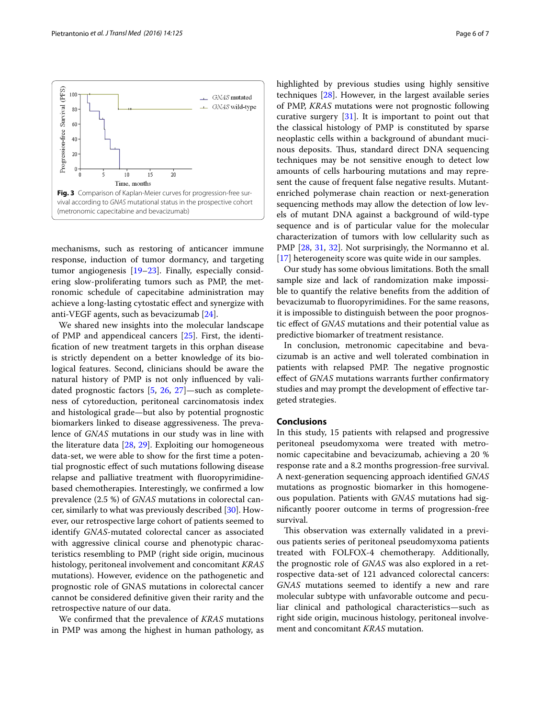<span id="page-5-0"></span>

We shared new insights into the molecular landscape of PMP and appendiceal cancers [\[25](#page-6-25)]. First, the identification of new treatment targets in this orphan disease is strictly dependent on a better knowledge of its biological features. Second, clinicians should be aware the natural history of PMP is not only influenced by validated prognostic factors [[5](#page-6-4), [26](#page-6-26), [27](#page-6-27)]—such as completeness of cytoreduction, peritoneal carcinomatosis index and histological grade—but also by potential prognostic biomarkers linked to disease aggressiveness. The prevalence of *GNAS* mutations in our study was in line with the literature data [\[28](#page-6-28), [29](#page-6-29)]. Exploiting our homogeneous data-set, we were able to show for the first time a potential prognostic effect of such mutations following disease relapse and palliative treatment with fluoropyrimidinebased chemotherapies. Interestingly, we confirmed a low prevalence (2.5 %) of *GNAS* mutations in colorectal cancer, similarly to what was previously described [[30\]](#page-6-30). However, our retrospective large cohort of patients seemed to identify *GNAS*-mutated colorectal cancer as associated with aggressive clinical course and phenotypic characteristics resembling to PMP (right side origin, mucinous histology, peritoneal involvement and concomitant *KRAS* mutations). However, evidence on the pathogenetic and prognostic role of GNAS mutations in colorectal cancer cannot be considered definitive given their rarity and the retrospective nature of our data.

We confirmed that the prevalence of *KRAS* mutations in PMP was among the highest in human pathology, as highlighted by previous studies using highly sensitive techniques [\[28\]](#page-6-28). However, in the largest available series of PMP, *KRAS* mutations were not prognostic following curative surgery [[31](#page-6-31)]. It is important to point out that the classical histology of PMP is constituted by sparse neoplastic cells within a background of abundant mucinous deposits. Thus, standard direct DNA sequencing techniques may be not sensitive enough to detect low amounts of cells harbouring mutations and may represent the cause of frequent false negative results. Mutantenriched polymerase chain reaction or next-generation sequencing methods may allow the detection of low levels of mutant DNA against a background of wild-type sequence and is of particular value for the molecular characterization of tumors with low cellularity such as PMP [\[28](#page-6-28), [31,](#page-6-31) [32\]](#page-6-32). Not surprisingly, the Normanno et al. [[17\]](#page-6-17) heterogeneity score was quite wide in our samples.

Our study has some obvious limitations. Both the small sample size and lack of randomization make impossible to quantify the relative benefits from the addition of bevacizumab to fluoropyrimidines. For the same reasons, it is impossible to distinguish between the poor prognostic effect of *GNAS* mutations and their potential value as predictive biomarker of treatment resistance.

In conclusion, metronomic capecitabine and bevacizumab is an active and well tolerated combination in patients with relapsed PMP. The negative prognostic effect of *GNAS* mutations warrants further confirmatory studies and may prompt the development of effective targeted strategies.

## **Conclusions**

In this study, 15 patients with relapsed and progressive peritoneal pseudomyxoma were treated with metronomic capecitabine and bevacizumab, achieving a 20 % response rate and a 8.2 months progression-free survival. A next-generation sequencing approach identified *GNAS* mutations as prognostic biomarker in this homogeneous population. Patients with *GNAS* mutations had significantly poorer outcome in terms of progression-free survival.

This observation was externally validated in a previous patients series of peritoneal pseudomyxoma patients treated with FOLFOX-4 chemotherapy. Additionally, the prognostic role of *GNAS* was also explored in a retrospective data-set of 121 advanced colorectal cancers: *GNAS* mutations seemed to identify a new and rare molecular subtype with unfavorable outcome and peculiar clinical and pathological characteristics—such as right side origin, mucinous histology, peritoneal involvement and concomitant *KRAS* mutation.